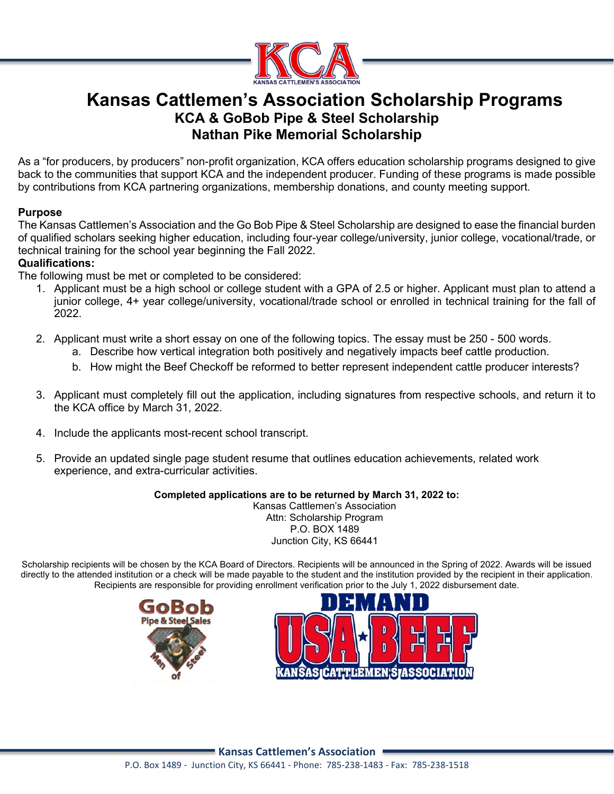

## **Kansas Cattlemen's Association Scholarship Programs KCA & GoBob Pipe & Steel Scholarship Nathan Pike Memorial Scholarship**

As a "for producers, by producers" non-profit organization, KCA offers education scholarship programs designed to give back to the communities that support KCA and the independent producer. Funding of these programs is made possible by contributions from KCA partnering organizations, membership donations, and county meeting support.

### **Purpose**

The Kansas Cattlemen's Association and the Go Bob Pipe & Steel Scholarship are designed to ease the financial burden of qualified scholars seeking higher education, including four-year college/university, junior college, vocational/trade, or technical training for the school year beginning the Fall 2022.

### **Qualifications:**

The following must be met or completed to be considered:

- 1. Applicant must be a high school or college student with a GPA of 2.5 or higher. Applicant must plan to attend a junior college, 4+ year college/university, vocational/trade school or enrolled in technical training for the fall of 2022.
- 2. Applicant must write a short essay on one of the following topics. The essay must be 250 500 words.
	- a. Describe how vertical integration both positively and negatively impacts beef cattle production.
	- b. How might the Beef Checkoff be reformed to better represent independent cattle producer interests?
- 3. Applicant must completely fill out the application, including signatures from respective schools, and return it to the KCA office by March 31, 2022.
- 4. Include the applicants most-recent school transcript.
- 5. Provide an updated single page student resume that outlines education achievements, related work experience, and extra-curricular activities.

#### **Completed applications are to be returned by March 31, 2022 to:**

Kansas Cattlemen's Association Attn: Scholarship Program P.O. BOX 1489 Junction City, KS 66441

Scholarship recipients will be chosen by the KCA Board of Directors. Recipients will be announced in the Spring of 2022. Awards will be issued directly to the attended institution or a check will be made payable to the student and the institution provided by the recipient in their application. Recipients are responsible for providing enrollment verification prior to the July 1, 2022 disbursement date.